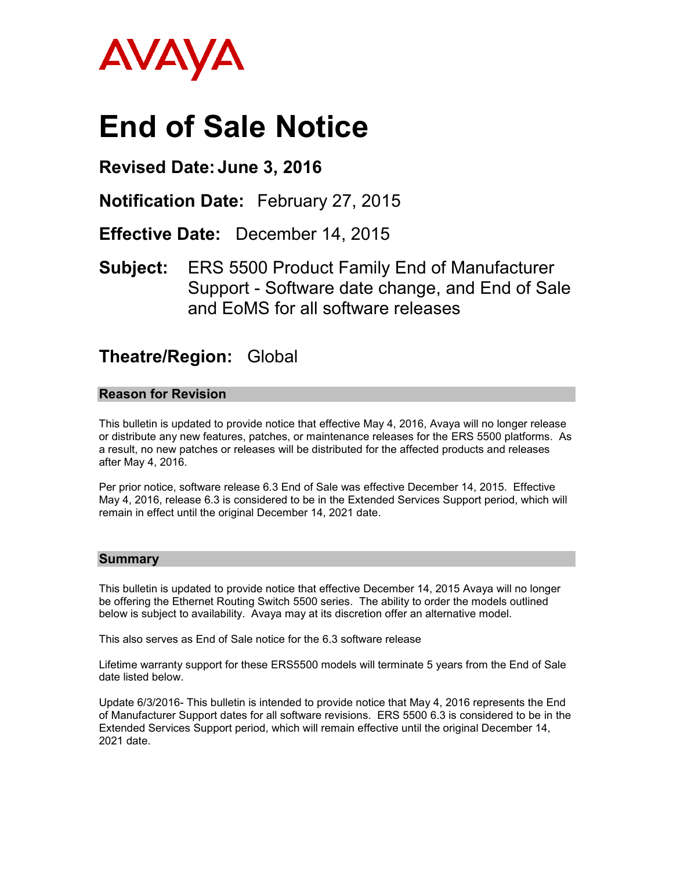

# **End of Sale Notice**

# **Revised Date: June 3, 2016**

**Notification Date:** February 27, 2015

**Effective Date:** December 14, 2015

**Subject:** ERS 5500 Product Family End of Manufacturer Support - Software date change, and End of Sale and EoMS for all software releases

# **Theatre/Region:** Global

# **Reason for Revision**

This bulletin is updated to provide notice that effective May 4, 2016, Avaya will no longer release or distribute any new features, patches, or maintenance releases for the ERS 5500 platforms. As a result, no new patches or releases will be distributed for the affected products and releases after May 4, 2016.

Per prior notice, software release 6.3 End of Sale was effective December 14, 2015. Effective May 4, 2016, release 6.3 is considered to be in the Extended Services Support period, which will remain in effect until the original December 14, 2021 date.

#### **Summary**

This bulletin is updated to provide notice that effective December 14, 2015 Avaya will no longer be offering the Ethernet Routing Switch 5500 series. The ability to order the models outlined below is subject to availability. Avaya may at its discretion offer an alternative model.

This also serves as End of Sale notice for the 6.3 software release

Lifetime warranty support for these ERS5500 models will terminate 5 years from the End of Sale date listed below.

Update 6/3/2016- This bulletin is intended to provide notice that May 4, 2016 represents the End of Manufacturer Support dates for all software revisions. ERS 5500 6.3 is considered to be in the Extended Services Support period, which will remain effective until the original December 14, 2021 date.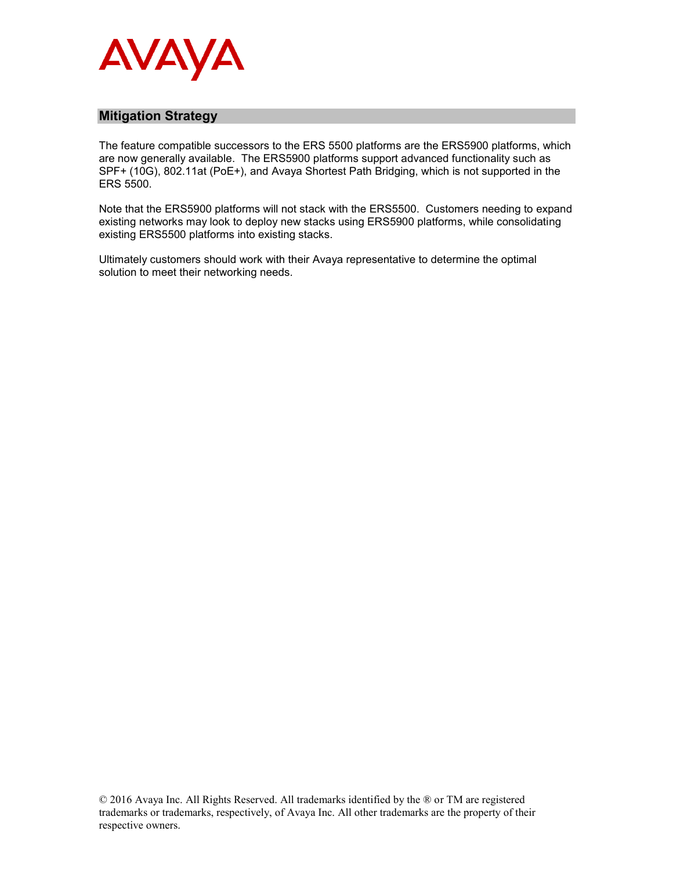

## **Mitigation Strategy**

The feature compatible successors to the ERS 5500 platforms are the ERS5900 platforms, which are now generally available. The ERS5900 platforms support advanced functionality such as SPF+ (10G), 802.11at (PoE+), and Avaya Shortest Path Bridging, which is not supported in the ERS 5500.

Note that the ERS5900 platforms will not stack with the ERS5500. Customers needing to expand existing networks may look to deploy new stacks using ERS5900 platforms, while consolidating existing ERS5500 platforms into existing stacks.

Ultimately customers should work with their Avaya representative to determine the optimal solution to meet their networking needs.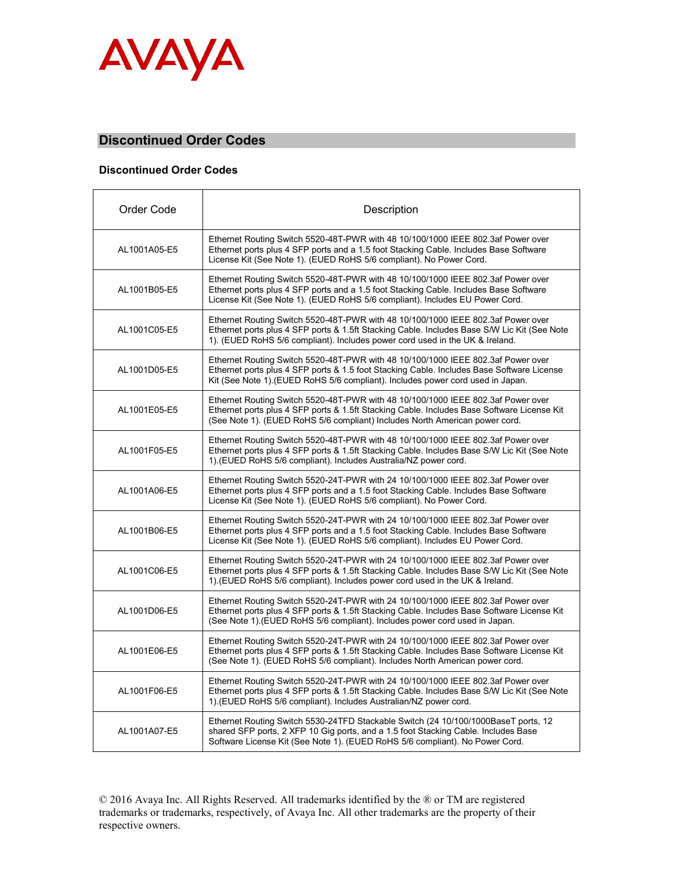

## **Discontinued Order Codes**

#### **Discontinued Order Codes**

| Order Code   | Description                                                                                                                                                                                                                                                     |
|--------------|-----------------------------------------------------------------------------------------------------------------------------------------------------------------------------------------------------------------------------------------------------------------|
| AL1001A05-E5 | Ethernet Routing Switch 5520-48T-PWR with 48 10/100/1000 IEEE 802.3af Power over<br>Ethernet ports plus 4 SFP ports and a 1.5 foot Stacking Cable. Includes Base Software<br>License Kit (See Note 1). (EUED RoHS 5/6 compliant). No Power Cord.                |
| AL1001B05-E5 | Ethernet Routing Switch 5520-48T-PWR with 48 10/100/1000 IEEE 802.3af Power over<br>Ethernet ports plus 4 SFP ports and a 1.5 foot Stacking Cable. Includes Base Software<br>License Kit (See Note 1). (EUED RoHS 5/6 compliant). Includes EU Power Cord.       |
| AL1001C05-E5 | Ethernet Routing Switch 5520-48T-PWR with 48 10/100/1000 IEEE 802.3af Power over<br>Ethernet ports plus 4 SFP ports & 1.5ft Stacking Cable. Includes Base S/W Lic Kit (See Note<br>1). (EUED RoHS 5/6 compliant). Includes power cord used in the UK & Ireland. |
| AL1001D05-E5 | Ethernet Routing Switch 5520-48T-PWR with 48 10/100/1000 IEEE 802.3af Power over<br>Ethernet ports plus 4 SFP ports & 1.5 foot Stacking Cable. Includes Base Software License<br>Kit (See Note 1) (EUED RoHS 5/6 compliant). Includes power cord used in Japan. |
| AL1001E05-E5 | Ethernet Routing Switch 5520-48T-PWR with 48 10/100/1000 IEEE 802.3af Power over<br>Ethernet ports plus 4 SFP ports & 1.5ft Stacking Cable. Includes Base Software License Kit<br>(See Note 1). (EUED RoHS 5/6 compliant) Includes North American power cord.   |
| AL1001F05-E5 | Ethernet Routing Switch 5520-48T-PWR with 48 10/100/1000 IEEE 802.3af Power over<br>Ethernet ports plus 4 SFP ports & 1.5ft Stacking Cable. Includes Base S/W Lic Kit (See Note<br>1) (EUED RoHS 5/6 compliant). Includes Australia/NZ power cord.              |
| AL1001A06-E5 | Ethernet Routing Switch 5520-24T-PWR with 24 10/100/1000 IEEE 802.3af Power over<br>Ethernet ports plus 4 SFP ports and a 1.5 foot Stacking Cable. Includes Base Software<br>License Kit (See Note 1). (EUED RoHS 5/6 compliant). No Power Cord.                |
| AL1001B06-E5 | Ethernet Routing Switch 5520-24T-PWR with 24 10/100/1000 IEEE 802.3af Power over<br>Ethernet ports plus 4 SFP ports and a 1.5 foot Stacking Cable. Includes Base Software<br>License Kit (See Note 1). (EUED RoHS 5/6 compliant). Includes EU Power Cord.       |
| AL1001C06-E5 | Ethernet Routing Switch 5520-24T-PWR with 24 10/100/1000 IEEE 802.3af Power over<br>Ethernet ports plus 4 SFP ports & 1.5ft Stacking Cable. Includes Base S/W Lic Kit (See Note<br>1) (EUED RoHS 5/6 compliant). Includes power cord used in the UK & Ireland.  |
| AL1001D06-E5 | Ethernet Routing Switch 5520-24T-PWR with 24 10/100/1000 IEEE 802.3af Power over<br>Ethernet ports plus 4 SFP ports & 1.5ft Stacking Cable. Includes Base Software License Kit<br>(See Note 1). (EUED RoHS 5/6 compliant). Includes power cord used in Japan.   |
| AL1001E06-E5 | Ethernet Routing Switch 5520-24T-PWR with 24 10/100/1000 IEEE 802.3af Power over<br>Ethernet ports plus 4 SFP ports & 1.5ft Stacking Cable. Includes Base Software License Kit<br>(See Note 1). (EUED RoHS 5/6 compliant). Includes North American power cord.  |
| AL1001F06-E5 | Ethernet Routing Switch 5520-24T-PWR with 24 10/100/1000 IEEE 802.3af Power over<br>Ethernet ports plus 4 SFP ports & 1.5ft Stacking Cable. Includes Base S/W Lic Kit (See Note<br>1). (EUED RoHS 5/6 compliant). Includes Australian/NZ power cord.            |
| AL1001A07-E5 | Ethernet Routing Switch 5530-24TFD Stackable Switch (24 10/100/1000BaseT ports, 12<br>shared SFP ports, 2 XFP 10 Gig ports, and a 1.5 foot Stacking Cable. Includes Base<br>Software License Kit (See Note 1). (EUED RoHS 5/6 compliant). No Power Cord.        |

© 2016 Avaya Inc. All Rights Reserved. All trademarks identified by the ® or TM are registered trademarks or trademarks, respectively, of Avaya Inc. All other trademarks are the property of their respective owners.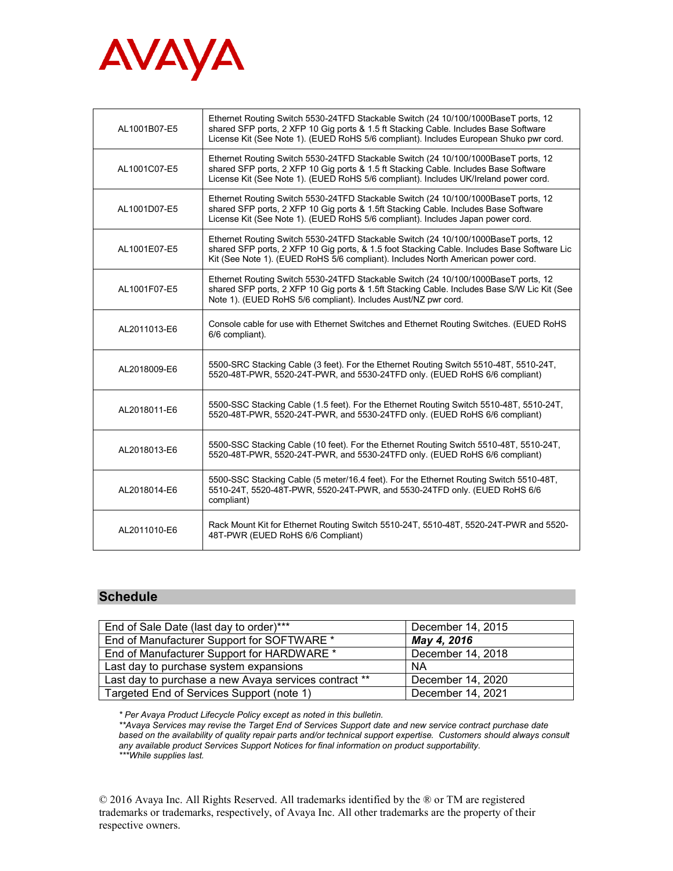

| AL1001B07-E5 | Ethernet Routing Switch 5530-24TFD Stackable Switch (24 10/100/1000BaseT ports, 12<br>shared SFP ports, 2 XFP 10 Gig ports & 1.5 ft Stacking Cable. Includes Base Software<br>License Kit (See Note 1). (EUED RoHS 5/6 compliant). Includes European Shuko pwr cord.  |
|--------------|-----------------------------------------------------------------------------------------------------------------------------------------------------------------------------------------------------------------------------------------------------------------------|
| AL1001C07-E5 | Ethernet Routing Switch 5530-24TFD Stackable Switch (24 10/100/1000BaseT ports, 12<br>shared SFP ports, 2 XFP 10 Gig ports & 1.5 ft Stacking Cable. Includes Base Software<br>License Kit (See Note 1). (EUED RoHS 5/6 compliant). Includes UK/Ireland power cord.    |
| AL1001D07-E5 | Ethernet Routing Switch 5530-24TFD Stackable Switch (24 10/100/1000BaseT ports, 12<br>shared SFP ports, 2 XFP 10 Gig ports & 1.5ft Stacking Cable. Includes Base Software<br>License Kit (See Note 1). (EUED RoHS 5/6 compliant). Includes Japan power cord.          |
| AL1001E07-E5 | Ethernet Routing Switch 5530-24TFD Stackable Switch (24 10/100/1000BaseT ports, 12<br>shared SFP ports, 2 XFP 10 Gig ports, & 1.5 foot Stacking Cable. Includes Base Software Lic<br>Kit (See Note 1). (EUED RoHS 5/6 compliant). Includes North American power cord. |
| AL1001F07-E5 | Ethernet Routing Switch 5530-24TFD Stackable Switch (24 10/100/1000BaseT ports, 12<br>shared SFP ports, 2 XFP 10 Gig ports & 1.5ft Stacking Cable. Includes Base S/W Lic Kit (See<br>Note 1). (EUED RoHS 5/6 compliant). Includes Aust/NZ pwr cord.                   |
| AL2011013-E6 | Console cable for use with Ethernet Switches and Ethernet Routing Switches. (EUED RoHS<br>6/6 compliant).                                                                                                                                                             |
| AL2018009-E6 | 5500-SRC Stacking Cable (3 feet). For the Ethernet Routing Switch 5510-48T, 5510-24T,<br>5520-48T-PWR, 5520-24T-PWR, and 5530-24TFD only. (EUED RoHS 6/6 compliant)                                                                                                   |
| AL2018011-E6 | 5500-SSC Stacking Cable (1.5 feet). For the Ethernet Routing Switch 5510-48T, 5510-24T,<br>5520-48T-PWR, 5520-24T-PWR, and 5530-24TFD only. (EUED RoHS 6/6 compliant)                                                                                                 |
| AL2018013-E6 | 5500-SSC Stacking Cable (10 feet). For the Ethernet Routing Switch 5510-48T, 5510-24T,<br>5520-48T-PWR, 5520-24T-PWR, and 5530-24TFD only. (EUED RoHS 6/6 compliant)                                                                                                  |
| AL2018014-E6 | 5500-SSC Stacking Cable (5 meter/16.4 feet). For the Ethernet Routing Switch 5510-48T,<br>5510-24T, 5520-48T-PWR, 5520-24T-PWR, and 5530-24TFD only. (EUED RoHS 6/6<br>compliant)                                                                                     |
| AL2011010-E6 | Rack Mount Kit for Ethernet Routing Switch 5510-24T, 5510-48T, 5520-24T-PWR and 5520-<br>48T-PWR (EUED RoHS 6/6 Compliant)                                                                                                                                            |

## **Schedule**

| End of Sale Date (last day to order)***               | December 14, 2015 |
|-------------------------------------------------------|-------------------|
| End of Manufacturer Support for SOFTWARE *            | May 4, 2016       |
| End of Manufacturer Support for HARDWARE *            | December 14, 2018 |
| Last day to purchase system expansions                | <b>NA</b>         |
| Last day to purchase a new Avaya services contract ** | December 14, 2020 |
| Targeted End of Services Support (note 1)             | December 14, 2021 |

*\* Per Avaya Product Lifecycle Policy except as noted in this bulletin.*

*\*\*Avaya Services may revise the Target End of Services Support date and new service contract purchase date based on the availability of quality repair parts and/or technical support expertise. Customers should always consult any available product Services Support Notices for final information on product supportability. \*\*\*While supplies last.*

© 2016 Avaya Inc. All Rights Reserved. All trademarks identified by the ® or TM are registered trademarks or trademarks, respectively, of Avaya Inc. All other trademarks are the property of their respective owners.